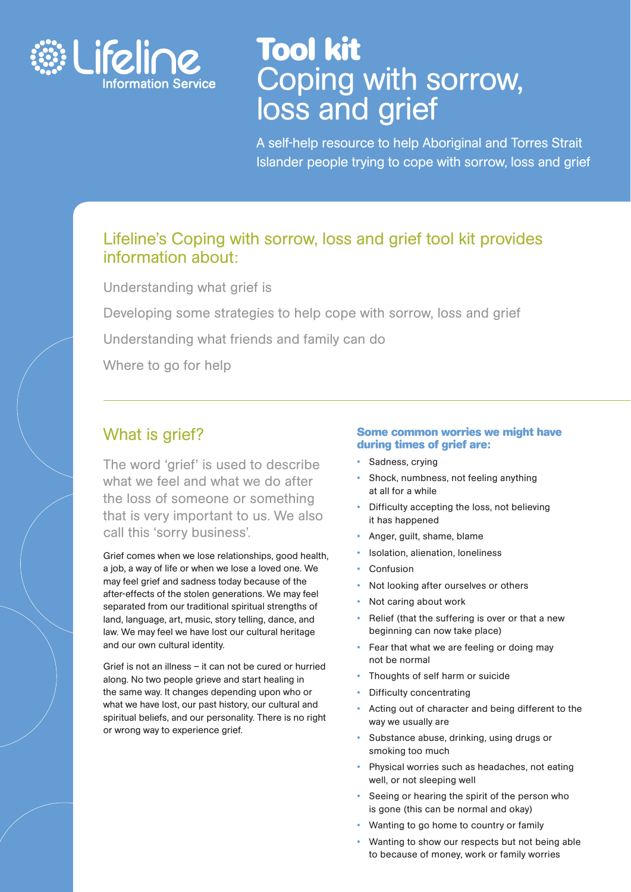

# **Tool kit** Coping with sorrow, loss and grief

A self-help resource to help Aboriginal and Torres Strait Islander people trying to cope with sorrow, loss and grief

### Lifeline's Coping with sorrow, loss and grief tool kit provides information about:

Understanding what grief is

Developing some strategies to help cope with sorrow, loss and grief

Understanding what friends and family can do

Where to go for help

### What is grief?

The word 'grief' is used to describe what we feel and what we do after the loss of someone or something that is very important to us. We also call this 'sorry business'.

Grief comes when we lose relationships, good health, a job, a way of life or when we lose a loved one. We may feel grief and sadness today because of the after-effects of the stolen generations. We may feel separated from our traditional spiritual strengths of land, language, art, music, story telling, dance, and law. We may feel we have lost our cultural heritage and our own cultural identity.

Grief is not an illness – it can not be cured or hurried along. No two people grieve and start healing in the same way. It changes depending upon who or what we have lost, our past history, our cultural and spiritual beliefs, and our personality. There is no right or wrong way to experience grief.

#### **Some common worries we might have during times of grief are:**

- -Sadness, crying
- - Shock, numbness, not feeling anything at all for a while
- - Difficulty accepting the loss, not believing it has happened
- -Anger, guilt, shame, blame
- -Isolation, alienation, loneliness
- -Confusion
- -Not looking after ourselves or others
- -Not caring about work
- - Relief (that the suffering is over or that a new beginning can now take place)
- - Fear that what we are feeling or doing may not be normal
- Thoughts of self harm or suicide
- -Difficulty concentrating
- $\bullet$  Acting out of character and being different to the way we usually are
- - Substance abuse, drinking, using drugs or smoking too much
- - Physical worries such as headaches, not eating well, or not sleeping well
- - Seeing or hearing the spirit of the person who is gone (this can be normal and okay)
- Wanting to go home to country or family
- - Wanting to show our respects but not being able to because of money, work or family worries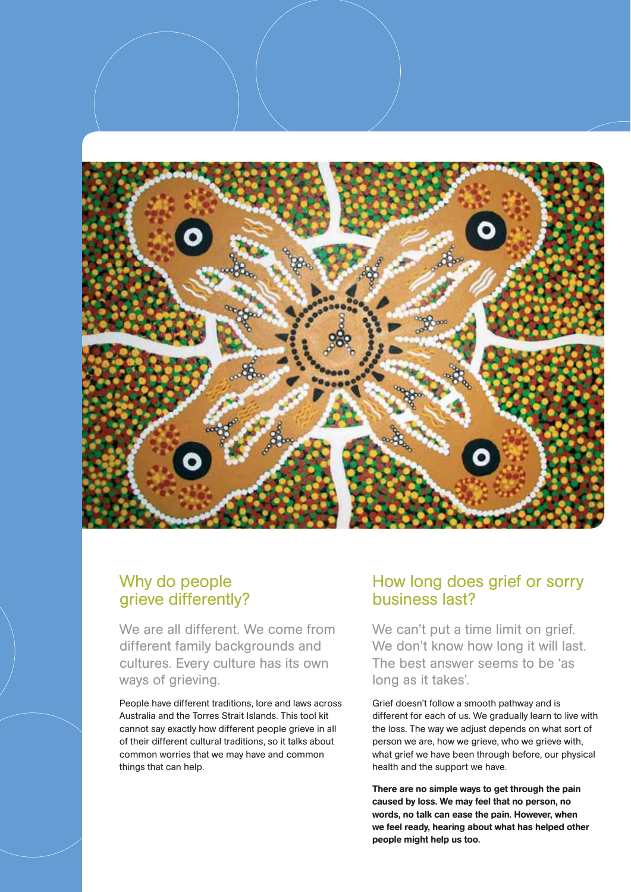

### Why do people grieve differently?

We are all different. We come from different family backgrounds and cultures. Every culture has its own ways of grieving.

People have different traditions, lore and laws across Australia and the Torres Strait Islands. This tool kit cannot say exactly how different people grieve in all of their different cultural traditions, so it talks about common worries that we may have and common things that can help.

### How long does grief or sorry business last?

We can't put a time limit on grief. We don't know how long it will last. The best answer seems to be 'as long as it takes'.

Grief doesn't follow a smooth pathway and is different for each of us. We gradually learn to live with the loss. The way we adjust depends on what sort of person we are, how we grieve, who we grieve with, what grief we have been through before, our physical health and the support we have.

**There are no simple ways to get through the pain caused by loss. We may feel that no person, no words, no talk can ease the pain. However, when we feel ready, hearing about what has helped other people might help us too.**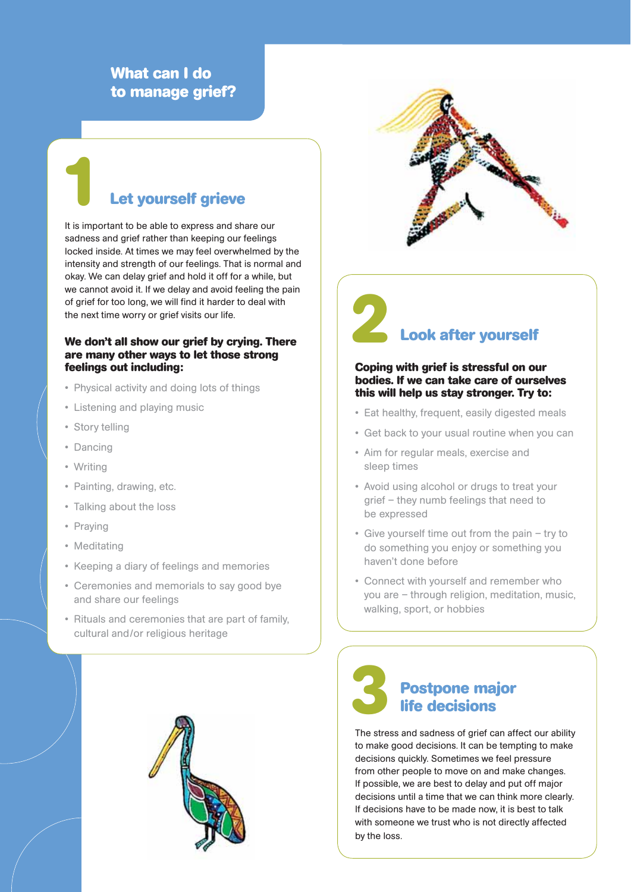### **What can I do to manage grief?**

# **Let yourself grieve 1**

It is important to be able to express and share our sadness and grief rather than keeping our feelings locked inside. At times we may feel overwhelmed by the intensity and strength of our feelings. That is normal and okay. We can delay grief and hold it off for a while, but we cannot avoid it. If we delay and avoid feeling the pain of grief for too long, we will find it harder to deal with the next time worry or grief visits our life.

#### **We don't all show our grief by crying. There are many other ways to let those strong feelings out including:**

- Physical activity and doing lots of things
- Listening and playing music
- Story telling
- Dancing
- Writing
- Painting, drawing, etc.
- Talking about the loss
- Praying
- Meditating
- Keeping a diary of feelings and memories
- Ceremonies and memorials to say good bye and share our feelings
- Rituals and ceremonies that are part of family, cultural and/or religious heritage





# **Look after yourself 2**

#### **Coping with grief is stressful on our bodies. If we can take care of ourselves this will help us stay stronger. Try to:**

- Eat healthy, frequent, easily digested meals
- Get back to your usual routine when you can
- Aim for regular meals, exercise and sleep times
- Avoid using alcohol or drugs to treat your grief – they numb feelings that need to be expressed
- Give yourself time out from the pain try to do something you enjoy or something you haven't done before
- Connect with yourself and remember who you are – through religion, meditation, music, walking, sport, or hobbies



The stress and sadness of grief can affect our ability to make good decisions. It can be tempting to make decisions quickly. Sometimes we feel pressure from other people to move on and make changes. If possible, we are best to delay and put off major decisions until a time that we can think more clearly. If decisions have to be made now, it is best to talk with someone we trust who is not directly affected by the loss.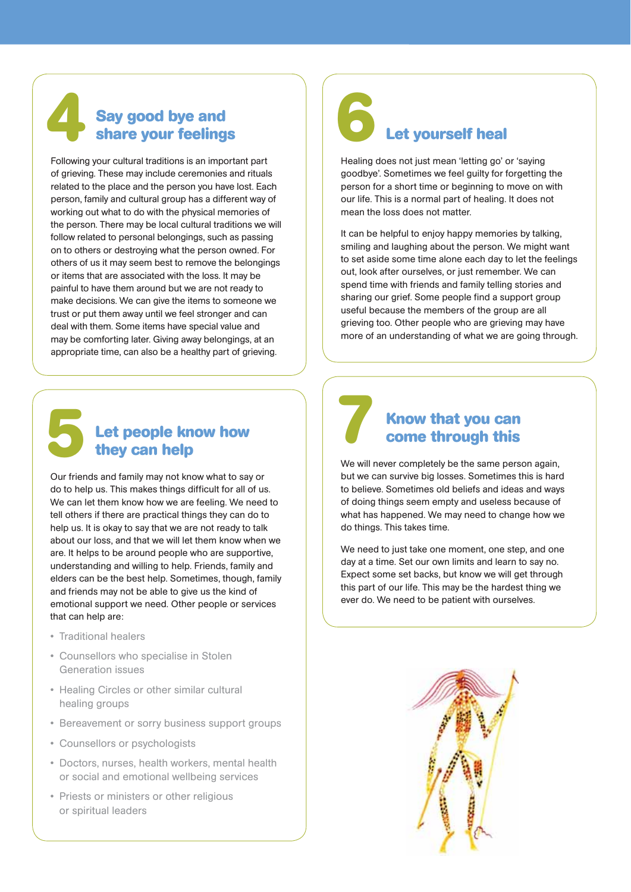### **Say good bye and share your feelings**

Following your cultural traditions is an important part of grieving. These may include ceremonies and rituals related to the place and the person you have lost. Each person, family and cultural group has a different way of working out what to do with the physical memories of the person. There may be local cultural traditions we will follow related to personal belongings, such as passing on to others or destroying what the person owned. For others of us it may seem best to remove the belongings or items that are associated with the loss. It may be painful to have them around but we are not ready to make decisions. We can give the items to someone we trust or put them away until we feel stronger and can deal with them. Some items have special value and may be comforting later. Giving away belongings, at an appropriate time, can also be a healthy part of grieving.

# **5**

# **Let people know how they can help 7**

Our friends and family may not know what to say or do to help us. This makes things difficult for all of us. We can let them know how we are feeling. We need to tell others if there are practical things they can do to help us. It is okay to say that we are not ready to talk about our loss, and that we will let them know when we are. It helps to be around people who are supportive, understanding and willing to help. Friends, family and elders can be the best help. Sometimes, though, family and friends may not be able to give us the kind of emotional support we need. Other people or services that can help are:

- Traditional healers
- Counsellors who specialise in Stolen Generation issues
- Healing Circles or other similar cultural healing groups
- Bereavement or sorry business support groups
- Counsellors or psychologists
- Doctors, nurses, health workers, mental health or social and emotional wellbeing services
- Priests or ministers or other religious or spiritual leaders

# **1** Say good bye and<br>share your feelings<br>**1** Let yourself heal **6**

Healing does not just mean 'letting go' or 'saying goodbye'. Sometimes we feel guilty for forgetting the person for a short time or beginning to move on with our life. This is a normal part of healing. It does not mean the loss does not matter.

It can be helpful to enjoy happy memories by talking, smiling and laughing about the person. We might want to set aside some time alone each day to let the feelings out, look after ourselves, or just remember. We can spend time with friends and family telling stories and sharing our grief. Some people find a support group useful because the members of the group are all grieving too. Other people who are grieving may have more of an understanding of what we are going through.



### **Know that you can come through this**

We will never completely be the same person again, but we can survive big losses. Sometimes this is hard to believe. Sometimes old beliefs and ideas and ways of doing things seem empty and useless because of what has happened. We may need to change how we do things. This takes time.

We need to just take one moment, one step, and one day at a time. Set our own limits and learn to say no. Expect some set backs, but know we will get through this part of our life. This may be the hardest thing we ever do. We need to be patient with ourselves.

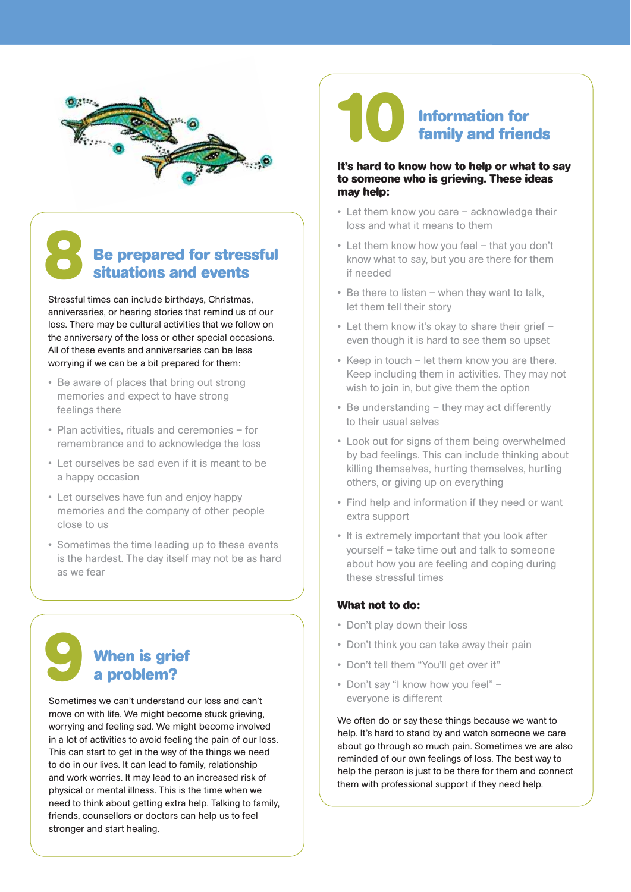

## **Be prepared for stressful situations and events 8**

Stressful times can include birthdays, Christmas, anniversaries, or hearing stories that remind us of our loss. There may be cultural activities that we follow on the anniversary of the loss or other special occasions. All of these events and anniversaries can be less worrying if we can be a bit prepared for them:

- Be aware of places that bring out strong memories and expect to have strong feelings there
- Plan activities, rituals and ceremonies for remembrance and to acknowledge the loss
- Let ourselves be sad even if it is meant to be a happy occasion
- Let ourselves have fun and enjoy happy memories and the company of other people close to us
- Sometimes the time leading up to these events is the hardest. The day itself may not be as hard as we fear

# **When is grief a problem?**

**9**

Sometimes we can't understand our loss and can't move on with life. We might become stuck grieving, worrying and feeling sad. We might become involved in a lot of activities to avoid feeling the pain of our loss. This can start to get in the way of the things we need to do in our lives. It can lead to family, relationship and work worries. It may lead to an increased risk of physical or mental illness. This is the time when we need to think about getting extra help. Talking to family, friends, counsellors or doctors can help us to feel stronger and start healing.

## **Information for family and friends 10**

### **It's hard to know how to help or what to say to someone who is grieving. These ideas may help:**

- Let them know you care acknowledge their loss and what it means to them
- Let them know how you feel that you don't know what to say, but you are there for them if needed
- Be there to listen when they want to talk, let them tell their story
- Let them know it's okay to share their grief even though it is hard to see them so upset
- Keep in touch let them know you are there. Keep including them in activities. They may not wish to join in, but give them the option
- Be understanding they may act differently to their usual selves
- Look out for signs of them being overwhelmed by bad feelings. This can include thinking about killing themselves, hurting themselves, hurting others, or giving up on everything
- Find help and information if they need or want extra support
- It is extremely important that you look after yourself – take time out and talk to someone about how you are feeling and coping during these stressful times

#### **What not to do:**

- Don't play down their loss
- Don't think you can take away their pain
- Don't tell them "You'll get over it"
- Don't say "I know how you feel" everyone is different

We often do or say these things because we want to help. It's hard to stand by and watch someone we care about go through so much pain. Sometimes we are also reminded of our own feelings of loss. The best way to help the person is just to be there for them and connect them with professional support if they need help.